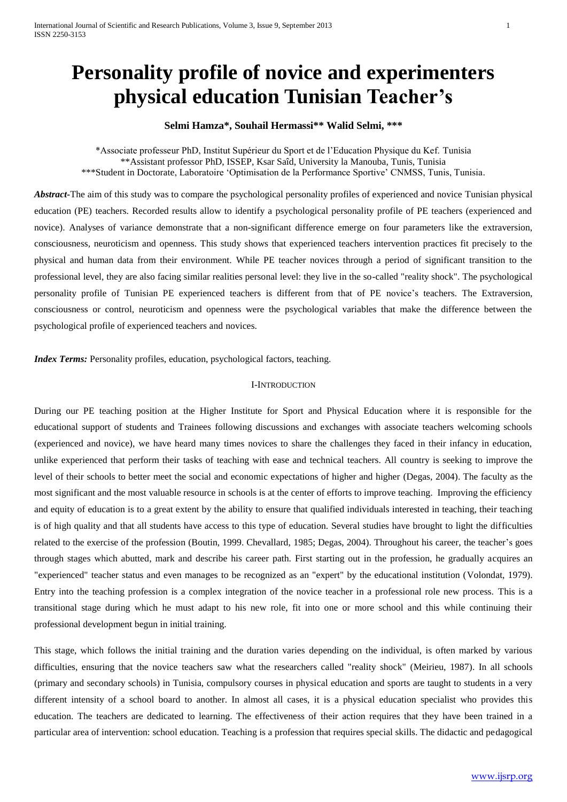# **Personality profile of novice and experimenters physical education Tunisian Teacher's**

# **Selmi Hamza\*, Souhail Hermassi\*\* Walid Selmi, \*\*\***

\*Associate professeur PhD, Institut Supérieur du Sport et de l'Education Physique du Kef. Tunisia \*\*Assistant professor PhD, ISSEP, Ksar Saîd, University la Manouba, Tunis, Tunisia \*\*\*Student in Doctorate, Laboratoire 'Optimisation de la Performance Sportive' CNMSS, Tunis, Tunisia.

*Abstract-*The aim of this study was to compare the psychological personality profiles of experienced and novice Tunisian physical education (PE) teachers. Recorded results allow to identify a psychological personality profile of PE teachers (experienced and novice). Analyses of variance demonstrate that a non-significant difference emerge on four parameters like the extraversion, consciousness, neuroticism and openness. This study shows that experienced teachers intervention practices fit precisely to the physical and human data from their environment. While PE teacher novices through a period of significant transition to the professional level, they are also facing similar realities personal level: they live in the so-called "reality shock". The psychological personality profile of Tunisian PE experienced teachers is different from that of PE novice's teachers. The Extraversion, consciousness or control, neuroticism and openness were the psychological variables that make the difference between the psychological profile of experienced teachers and novices.

*Index Terms:* Personality profiles, education, psychological factors, teaching.

#### I-INTRODUCTION

During our PE teaching position at the Higher Institute for Sport and Physical Education where it is responsible for the educational support of students and Trainees following discussions and exchanges with associate teachers welcoming schools (experienced and novice), we have heard many times novices to share the challenges they faced in their infancy in education, unlike experienced that perform their tasks of teaching with ease and technical teachers. All country is seeking to improve the level of their schools to better meet the social and economic expectations of higher and higher (Degas, 2004). The faculty as the most significant and the most valuable resource in schools is at the center of efforts to improve teaching. Improving the efficiency and equity of education is to a great extent by the ability to ensure that qualified individuals interested in teaching, their teaching is of high quality and that all students have access to this type of education. Several studies have brought to light the difficulties related to the exercise of the profession (Boutin, 1999. Chevallard, 1985; Degas, 2004). Throughout his career, the teacher's goes through stages which abutted, mark and describe his career path. First starting out in the profession, he gradually acquires an "experienced" teacher status and even manages to be recognized as an "expert" by the educational institution (Volondat, 1979). Entry into the teaching profession is a complex integration of the novice teacher in a professional role new process. This is a transitional stage during which he must adapt to his new role, fit into one or more school and this while continuing their professional development begun in initial training.

This stage, which follows the initial training and the duration varies depending on the individual, is often marked by various difficulties, ensuring that the novice teachers saw what the researchers called "reality shock" (Meirieu, 1987). In all schools (primary and secondary schools) in Tunisia, compulsory courses in physical education and sports are taught to students in a very different intensity of a school board to another. In almost all cases, it is a physical education specialist who provides this education. The teachers are dedicated to learning. The effectiveness of their action requires that they have been trained in a particular area of intervention: school education. Teaching is a profession that requires special skills. The didactic and pedagogical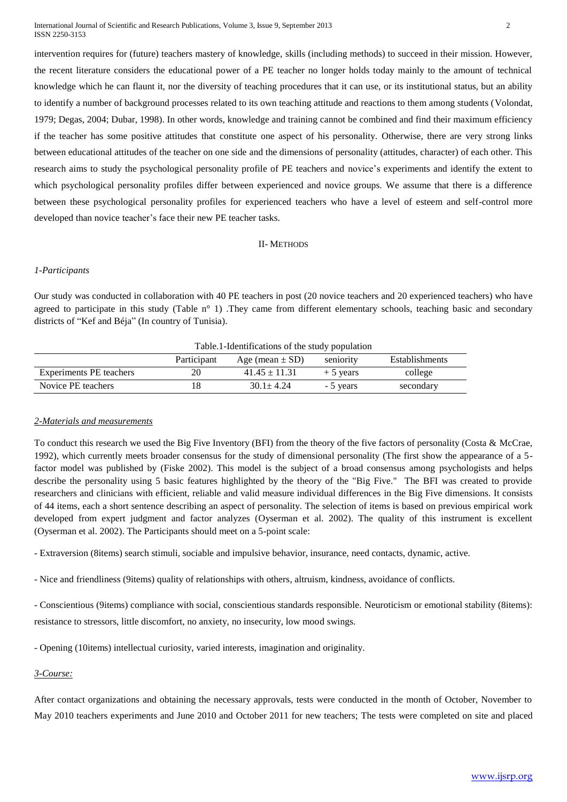International Journal of Scientific and Research Publications, Volume 3, Issue 9, September 2013 2 ISSN 2250-3153

intervention requires for (future) teachers mastery of knowledge, skills (including methods) to succeed in their mission. However, the recent literature considers the educational power of a PE teacher no longer holds today mainly to the amount of technical knowledge which he can flaunt it, nor the diversity of teaching procedures that it can use, or its institutional status, but an ability to identify a number of background processes related to its own teaching attitude and reactions to them among students (Volondat, 1979; Degas, 2004; Dubar, 1998). In other words, knowledge and training cannot be combined and find their maximum efficiency if the teacher has some positive attitudes that constitute one aspect of his personality. Otherwise, there are very strong links between educational attitudes of the teacher on one side and the dimensions of personality (attitudes, character) of each other. This research aims to study the psychological personality profile of PE teachers and novice's experiments and identify the extent to which psychological personality profiles differ between experienced and novice groups. We assume that there is a difference between these psychological personality profiles for experienced teachers who have a level of esteem and self-control more developed than novice teacher's face their new PE teacher tasks.

# II- METHODS

## *1-Participants*

Our study was conducted in collaboration with 40 PE teachers in post (20 novice teachers and 20 experienced teachers) who have agreed to participate in this study (Table n° 1). They came from different elementary schools, teaching basic and secondary districts of "Kef and Béja" (In country of Tunisia).

#### Table.1-Identifications of the study population

|                         | Participant | Age (mean $\pm$ SD) | seniority  | Establishments |
|-------------------------|-------------|---------------------|------------|----------------|
| Experiments PE teachers | 20          | $41.45 \pm 11.31$   | $+5$ years | college        |
| Novice PE teachers      | 18          | $30.1 \pm 4.24$     | - 5 years  | secondary      |

## *2-Materials and measurements*

To conduct this research we used the Big Five Inventory (BFI) from the theory of the five factors of personality (Costa & McCrae, 1992), which currently meets broader consensus for the study of dimensional personality (The first show the appearance of a 5 factor model was published by (Fiske 2002). This model is the subject of a broad consensus among psychologists and helps describe the personality using 5 basic features highlighted by the theory of the "Big Five." The BFI was created to provide researchers and clinicians with efficient, reliable and valid measure individual differences in the Big Five dimensions. It consists of 44 items, each a short sentence describing an aspect of personality. The selection of items is based on previous empirical work developed from expert judgment and factor analyzes (Oyserman et al. 2002). The quality of this instrument is excellent (Oyserman et al. 2002). The Participants should meet on a 5-point scale:

- Extraversion (8items) search stimuli, sociable and impulsive behavior, insurance, need contacts, dynamic, active.

- Nice and friendliness (9items) quality of relationships with others, altruism, kindness, avoidance of conflicts.

- Conscientious (9items) compliance with social, conscientious standards responsible. Neuroticism or emotional stability (8items): resistance to stressors, little discomfort, no anxiety, no insecurity, low mood swings.

- Opening (10items) intellectual curiosity, varied interests, imagination and originality.

# *3-Course:*

After contact organizations and obtaining the necessary approvals, tests were conducted in the month of October, November to May 2010 teachers experiments and June 2010 and October 2011 for new teachers; The tests were completed on site and placed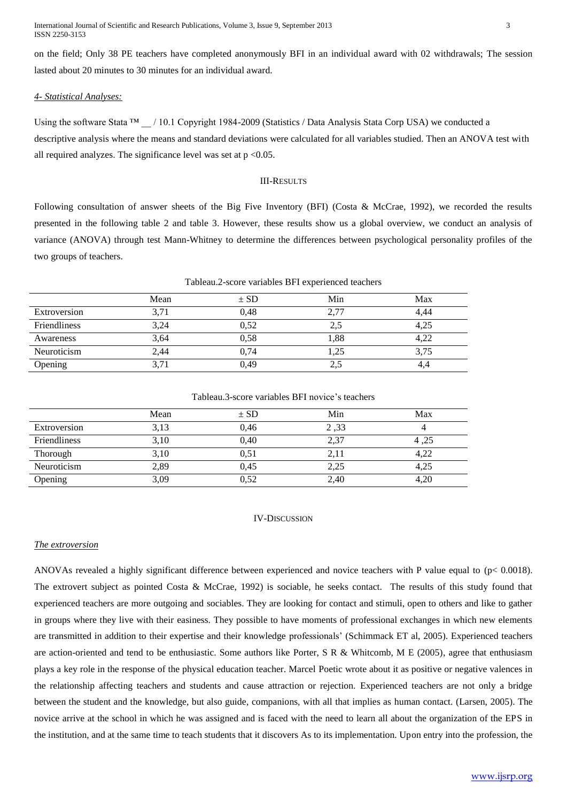International Journal of Scientific and Research Publications, Volume 3, Issue 9, September 2013 3 ISSN 2250-3153

on the field; Only 38 PE teachers have completed anonymously BFI in an individual award with 02 withdrawals; The session lasted about 20 minutes to 30 minutes for an individual award.

## *4- Statistical Analyses:*

Using the software Stata  $\text{TM}$  / 10.1 Copyright 1984-2009 (Statistics / Data Analysis Stata Corp USA) we conducted a descriptive analysis where the means and standard deviations were calculated for all variables studied. Then an ANOVA test with all required analyzes. The significance level was set at  $p \le 0.05$ .

#### III-RESULTS

Following consultation of answer sheets of the Big Five Inventory (BFI) (Costa & McCrae, 1992), we recorded the results presented in the following table 2 and table 3. However, these results show us a global overview, we conduct an analysis of variance (ANOVA) through test Mann-Whitney to determine the differences between psychological personality profiles of the two groups of teachers.

|              | Mean | $\pm$ SD | Min  | Max  |  |
|--------------|------|----------|------|------|--|
| Extroversion | 3.71 | 0,48     | 2.77 | 4.44 |  |
| Friendliness | 3.24 | 0.52     | 2,5  | 4,25 |  |
| Awareness    | 3,64 | 0.58     | 1,88 | 4,22 |  |
| Neuroticism  | 2.44 | 0,74     | 1,25 | 3,75 |  |
| Opening      | 3,71 | 0,49     | 2,5  | 4,4  |  |

Tableau.2-score variables BFI experienced teachers

Tableau.3-score variables BFI novice's teachers

|              | Mean | $\pm$ SD | Min  | Max  |
|--------------|------|----------|------|------|
| Extroversion | 3,13 | 0,46     | 2.33 |      |
| Friendliness | 3,10 | 0,40     | 2,37 | 4,25 |
| Thorough     | 3,10 | 0.51     | 2,11 | 4,22 |
| Neuroticism  | 2,89 | 0,45     | 2,25 | 4,25 |
| Opening      | 3,09 | 0,52     | 2,40 | 4,20 |

# IV-DISCUSSION

#### *The extroversion*

ANOVAs revealed a highly significant difference between experienced and novice teachers with P value equal to (p< 0.0018). The extrovert subject as pointed Costa & McCrae, 1992) is sociable, he seeks contact. The results of this study found that experienced teachers are more outgoing and sociables. They are looking for contact and stimuli, open to others and like to gather in groups where they live with their easiness. They possible to have moments of professional exchanges in which new elements are transmitted in addition to their expertise and their knowledge professionals' (Schimmack ET al, 2005). Experienced teachers are action-oriented and tend to be enthusiastic. Some authors like Porter, S R & Whitcomb, M E (2005), agree that enthusiasm plays a key role in the response of the physical education teacher. Marcel Poetic wrote about it as positive or negative valences in the relationship affecting teachers and students and cause attraction or rejection. Experienced teachers are not only a bridge between the student and the knowledge, but also guide, companions, with all that implies as human contact. (Larsen, 2005). The novice arrive at the school in which he was assigned and is faced with the need to learn all about the organization of the EPS in the institution, and at the same time to teach students that it discovers As to its implementation. Upon entry into the profession, the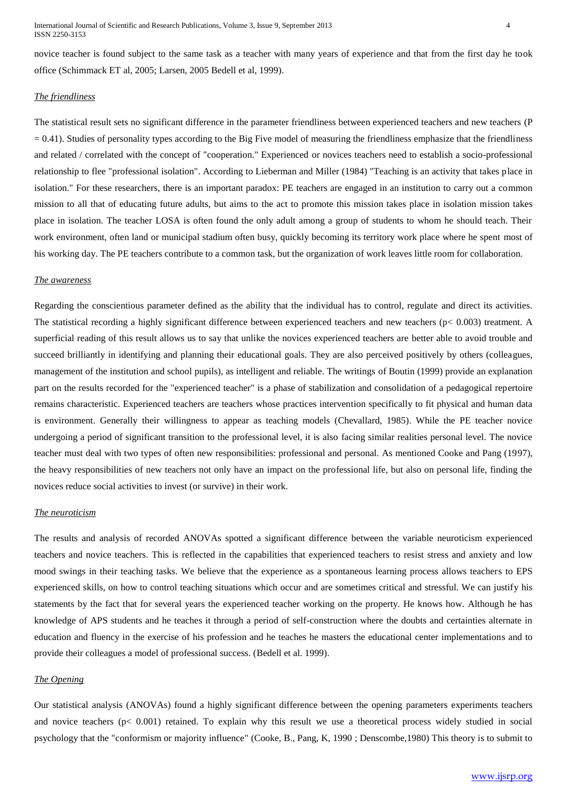novice teacher is found subject to the same task as a teacher with many years of experience and that from the first day he took office (Schimmack ET al, 2005; Larsen, 2005 Bedell et al, 1999).

# *The friendliness*

The statistical result sets no significant difference in the parameter friendliness between experienced teachers and new teachers (P  $= 0.41$ ). Studies of personality types according to the Big Five model of measuring the friendliness emphasize that the friendliness and related / correlated with the concept of "cooperation." Experienced or novices teachers need to establish a socio-professional relationship to flee "professional isolation". According to Lieberman and Miller (1984) "Teaching is an activity that takes place in isolation." For these researchers, there is an important paradox: PE teachers are engaged in an institution to carry out a common mission to all that of educating future adults, but aims to the act to promote this mission takes place in isolation mission takes place in isolation. The teacher LOSA is often found the only adult among a group of students to whom he should teach. Their work environment, often land or municipal stadium often busy, quickly becoming its territory work place where he spent most of his working day. The PE teachers contribute to a common task, but the organization of work leaves little room for collaboration.

#### *The awareness*

Regarding the conscientious parameter defined as the ability that the individual has to control, regulate and direct its activities. The statistical recording a highly significant difference between experienced teachers and new teachers ( $p < 0.003$ ) treatment. A superficial reading of this result allows us to say that unlike the novices experienced teachers are better able to avoid trouble and succeed brilliantly in identifying and planning their educational goals. They are also perceived positively by others (colleagues, management of the institution and school pupils), as intelligent and reliable. The writings of Boutin (1999) provide an explanation part on the results recorded for the "experienced teacher" is a phase of stabilization and consolidation of a pedagogical repertoire remains characteristic. Experienced teachers are teachers whose practices intervention specifically to fit physical and human data is environment. Generally their willingness to appear as teaching models (Chevallard, 1985). While the PE teacher novice undergoing a period of significant transition to the professional level, it is also facing similar realities personal level. The novice teacher must deal with two types of often new responsibilities: professional and personal. As mentioned Cooke and Pang (1997), the heavy responsibilities of new teachers not only have an impact on the professional life, but also on personal life, finding the novices reduce social activities to invest (or survive) in their work.

#### *The neuroticism*

The results and analysis of recorded ANOVAs spotted a significant difference between the variable neuroticism experienced teachers and novice teachers. This is reflected in the capabilities that experienced teachers to resist stress and anxiety and low mood swings in their teaching tasks. We believe that the experience as a spontaneous learning process allows teachers to EPS experienced skills, on how to control teaching situations which occur and are sometimes critical and stressful. We can justify his statements by the fact that for several years the experienced teacher working on the property. He knows how. Although he has knowledge of APS students and he teaches it through a period of self-construction where the doubts and certainties alternate in education and fluency in the exercise of his profession and he teaches he masters the educational center implementations and to provide their colleagues a model of professional success. (Bedell et al. 1999).

## *The Opening*

Our statistical analysis (ANOVAs) found a highly significant difference between the opening parameters experiments teachers and novice teachers  $(p< 0.001)$  retained. To explain why this result we use a theoretical process widely studied in social psychology that the "conformism or majority influence" (Cooke, B., Pang, K, 1990 ; Denscombe,1980) This theory is to submit to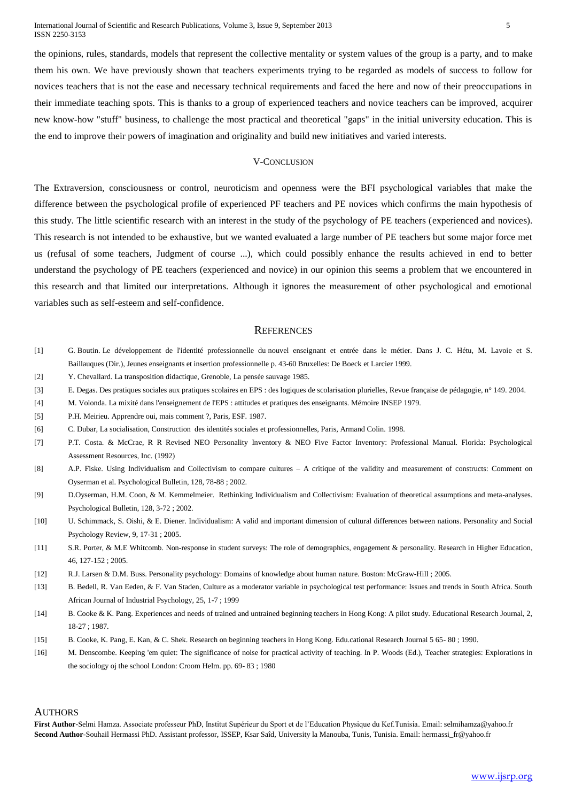International Journal of Scientific and Research Publications, Volume 3, Issue 9, September 2013 5 ISSN 2250-3153

the opinions, rules, standards, models that represent the collective mentality or system values of the group is a party, and to make them his own. We have previously shown that teachers experiments trying to be regarded as models of success to follow for novices teachers that is not the ease and necessary technical requirements and faced the here and now of their preoccupations in their immediate teaching spots. This is thanks to a group of experienced teachers and novice teachers can be improved, acquirer new know-how "stuff" business, to challenge the most practical and theoretical "gaps" in the initial university education. This is the end to improve their powers of imagination and originality and build new initiatives and varied interests.

## V-CONCLUSION

The Extraversion, consciousness or control, neuroticism and openness were the BFI psychological variables that make the difference between the psychological profile of experienced PF teachers and PE novices which confirms the main hypothesis of this study. The little scientific research with an interest in the study of the psychology of PE teachers (experienced and novices). This research is not intended to be exhaustive, but we wanted evaluated a large number of PE teachers but some major force met us (refusal of some teachers, Judgment of course ...), which could possibly enhance the results achieved in end to better understand the psychology of PE teachers (experienced and novice) in our opinion this seems a problem that we encountered in this research and that limited our interpretations. Although it ignores the measurement of other psychological and emotional variables such as self-esteem and self-confidence.

# **REFERENCES**

- [1] G. Boutin. Le développement de l'identité professionnelle du nouvel enseignant et entrée dans le métier. Dans J. C. Hétu, M. Lavoie et S. Baillauques (Dir.), Jeunes enseignants et insertion professionnelle p. 43-60 Bruxelles: De Boeck et Larcier 1999.
- [2] Y. Chevallard. La transposition didactique, Grenoble, La pensée sauvage 1985.
- [3] E. Degas. Des pratiques sociales aux pratiques scolaires en EPS : des logiques de scolarisation plurielles, Revue française de pédagogie, n° 149. 2004.
- [4] M. Volonda. La mixité dans l'enseignement de l'EPS : attitudes et pratiques des enseignants. Mémoire INSEP 1979.
- [5] P.H. Meirieu. Apprendre oui, mais comment ?, Paris, ESF. 1987.
- [6] C. Dubar, La socialisation, Construction des identités sociales et professionnelles, Paris, Armand Colin. 1998.
- [7] P.T. Costa. & McCrae, R R Revised NEO Personality Inventory & NEO Five Factor Inventory: Professional Manual. Florida: Psychological Assessment Resources, Inc. (1992)
- [8] A.P. Fiske. Using Individualism and Collectivism to compare cultures A critique of the validity and measurement of constructs: Comment on Oyserman et al. Psychological Bulletin, 128, 78-88 ; 2002.
- [9] D.Oyserman, H.M. Coon, & M. Kemmelmeier. Rethinking Individualism and Collectivism: Evaluation of theoretical assumptions and meta-analyses. Psychological Bulletin, 128, 3-72 ; 2002.
- [10] U. Schimmack, S. Oishi, & E. Diener. Individualism: A valid and important dimension of cultural differences between nations. Personality and Social Psychology Review, 9, 17-31 ; 2005.
- [11] S.R. Porter, & M.E Whitcomb. Non-response in student surveys: The role of demographics, engagement & personality. Research in Higher Education, 46, 127-152 ; 2005.
- [12] R.J. Larsen & D.M. Buss. Personality psychology: Domains of knowledge about human nature. Boston: McGraw-Hill ; 2005.
- [13] B. Bedell, R. Van Eeden, & F. Van Staden, Culture as a moderator variable in psychological test performance: Issues and trends in South Africa. South African Journal of Industrial Psychology, 25, 1-7 ; 1999
- [14] B. Cooke & K. Pang. Experiences and needs of trained and untrained beginning teachers in Hong Kong: A pilot study. Educational Research Journal, 2, 18-27 ; 1987.
- [15] B. Cooke, K. Pang, E. Kan, & C. Shek. Research on beginning teachers in Hong Kong. Edu.cational Research Journal 5 65- 80 ; 1990.
- [16] M. Denscombe. Keeping 'em quiet: The significance of noise for practical activity of teaching. In P. Woods (Ed.), Teacher strategies: Explorations in the sociology oj the school London: Croom Helm. pp. 69- 83 ; 1980

## **AUTHORS**

**First Author**-Selmi Hamza. Associate professeur PhD, Institut Supérieur du Sport et de l'Education Physique du Kef.Tunisia. Email: selmihamza@yahoo.fr **Second Author**-Souhail Hermassi PhD. Assistant professor, ISSEP, Ksar Saîd, University la Manouba, Tunis, Tunisia. Email: hermassi\_fr@yahoo.fr